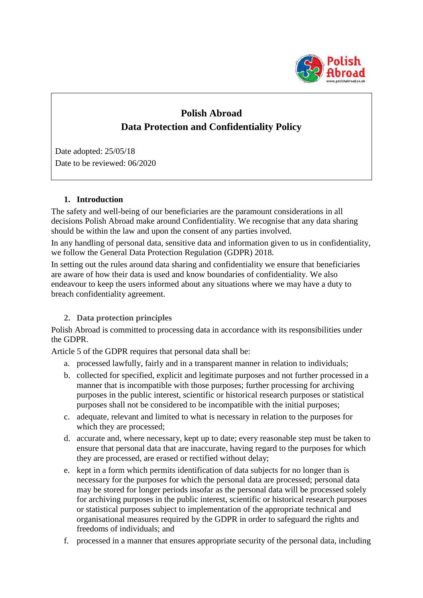

# **Polish Abroad Data Protection and Confidentiality Policy**

Date adopted: 25/05/18 Date to be reviewed: 06/2020

# **1. Introduction**

The safety and well-being of our beneficiaries are the paramount considerations in all decisions Polish Abroad make around Confidentiality. We recognise that any data sharing should be within the law and upon the consent of any parties involved.

In any handling of personal data, sensitive data and information given to us in confidentiality, we follow the General Data Protection Regulation (GDPR) 2018.

In setting out the rules around data sharing and confidentiality we ensure that beneficiaries are aware of how their data is used and know boundaries of confidentiality. We also endeavour to keep the users informed about any situations where we may have a duty to breach confidentiality agreement.

# **2. Data protection principles**

Polish Abroad is committed to processing data in accordance with its responsibilities under the GDPR.

Article 5 of the GDPR requires that personal data shall be:

- a. processed lawfully, fairly and in a transparent manner in relation to individuals;
- b. collected for specified, explicit and legitimate purposes and not further processed in a manner that is incompatible with those purposes; further processing for archiving purposes in the public interest, scientific or historical research purposes or statistical purposes shall not be considered to be incompatible with the initial purposes;
- c. adequate, relevant and limited to what is necessary in relation to the purposes for which they are processed;
- d. accurate and, where necessary, kept up to date; every reasonable step must be taken to ensure that personal data that are inaccurate, having regard to the purposes for which they are processed, are erased or rectified without delay;
- e. kept in a form which permits identification of data subjects for no longer than is necessary for the purposes for which the personal data are processed; personal data may be stored for longer periods insofar as the personal data will be processed solely for archiving purposes in the public interest, scientific or historical research purposes or statistical purposes subject to implementation of the appropriate technical and organisational measures required by the GDPR in order to safeguard the rights and freedoms of individuals; and
- f. processed in a manner that ensures appropriate security of the personal data, including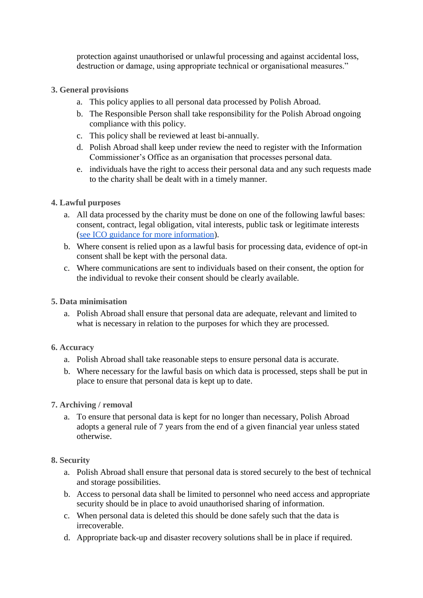protection against unauthorised or unlawful processing and against accidental loss, destruction or damage, using appropriate technical or organisational measures."

# **3. General provisions**

- a. This policy applies to all personal data processed by Polish Abroad.
- b. The Responsible Person shall take responsibility for the Polish Abroad ongoing compliance with this policy.
- c. This policy shall be reviewed at least bi-annually.
- d. Polish Abroad shall keep under review the need to register with the Information Commissioner's Office as an organisation that processes personal data.
- e. individuals have the right to access their personal data and any such requests made to the charity shall be dealt with in a timely manner.

## **4. Lawful purposes**

- a. All data processed by the charity must be done on one of the following lawful bases: consent, contract, legal obligation, vital interests, public task or legitimate interests [\(see ICO guidance for more information\)](https://ico.org.uk/for-organisations/guide-to-the-general-data-protection-regulation-gdpr/lawful-basis-for-processing/).
- b. Where consent is relied upon as a lawful basis for processing data, evidence of opt-in consent shall be kept with the personal data.
- c. Where communications are sent to individuals based on their consent, the option for the individual to revoke their consent should be clearly available.

## **5. Data minimisation**

a. Polish Abroad shall ensure that personal data are adequate, relevant and limited to what is necessary in relation to the purposes for which they are processed.

# **6. Accuracy**

- a. Polish Abroad shall take reasonable steps to ensure personal data is accurate.
- b. Where necessary for the lawful basis on which data is processed, steps shall be put in place to ensure that personal data is kept up to date.

# **7. Archiving / removal**

a. To ensure that personal data is kept for no longer than necessary, Polish Abroad adopts a general rule of 7 years from the end of a given financial year unless stated otherwise.

#### **8. Security**

- a. Polish Abroad shall ensure that personal data is stored securely to the best of technical and storage possibilities.
- b. Access to personal data shall be limited to personnel who need access and appropriate security should be in place to avoid unauthorised sharing of information.
- c. When personal data is deleted this should be done safely such that the data is irrecoverable.
- d. Appropriate back-up and disaster recovery solutions shall be in place if required.